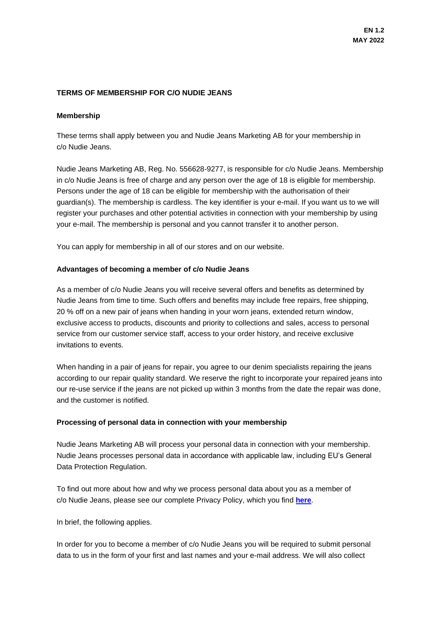# **TERMS OF MEMBERSHIP FOR C/O NUDIE JEANS**

## **Membership**

These terms shall apply between you and Nudie Jeans Marketing AB for your membership in c/o Nudie Jeans.

Nudie Jeans Marketing AB, Reg. No. 556628-9277, is responsible for c/o Nudie Jeans. Membership in c/o Nudie Jeans is free of charge and any person over the age of 18 is eligible for membership. Persons under the age of 18 can be eligible for membership with the authorisation of their guardian(s). The membership is cardless. The key identifier is your e-mail. If you want us to we will register your purchases and other potential activities in connection with your membership by using your e-mail. The membership is personal and you cannot transfer it to another person.

You can apply for membership in all of our stores and on our website.

# **Advantages of becoming a member of c/o Nudie Jeans**

As a member of c/o Nudie Jeans you will receive several offers and benefits as determined by Nudie Jeans from time to time. Such offers and benefits may include free repairs, free shipping, 20 % off on a new pair of jeans when handing in your worn jeans, extended return window, exclusive access to products, discounts and priority to collections and sales, access to personal service from our customer service staff, access to your order history, and receive exclusive invitations to events.

When handing in a pair of jeans for repair, you agree to our denim specialists repairing the jeans according to our repair quality standard. We reserve the right to incorporate your repaired jeans into our re-use service if the jeans are not picked up within 3 months from the date the repair was done, and the customer is notified.

## **Processing of personal data in connection with your membership**

Nudie Jeans Marketing AB will process your personal data in connection with your membership. Nudie Jeans processes personal data in accordance with applicable law, including EU's General Data Protection Regulation.

To find out more about how and why we process personal data about you as a member of c/o Nudie Jeans, please see our complete Privacy Policy, which you find **[here](https://www.nudiejeans.com/page/privacy-policy)**.

In brief, the following applies.

In order for you to become a member of c/o Nudie Jeans you will be required to submit personal data to us in the form of your first and last names and your e-mail address. We will also collect